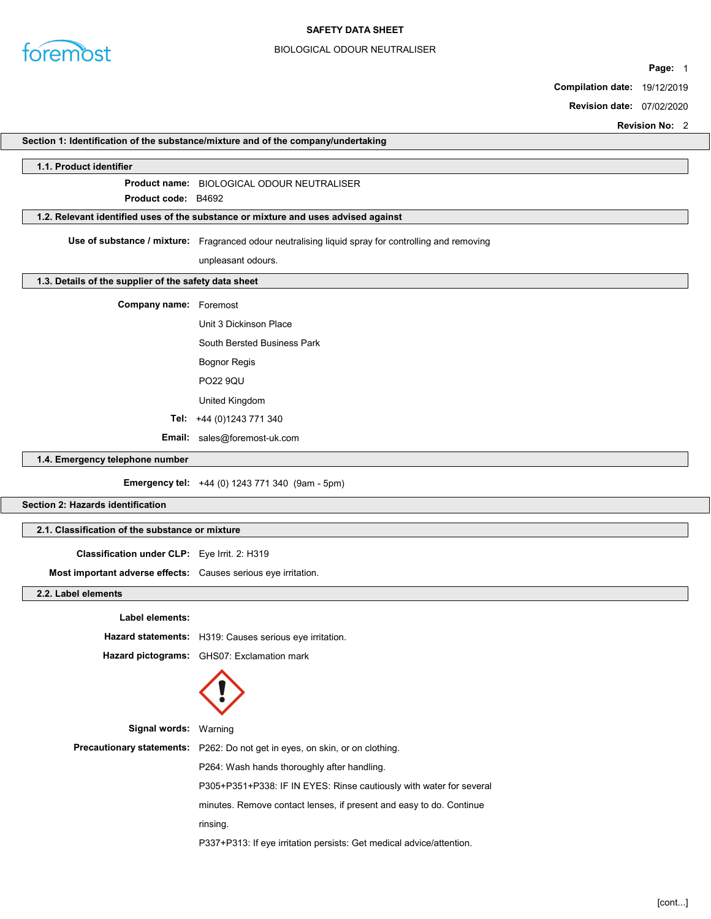

# BIOLOGICAL ODOUR NEUTRALISER

Page: 1

Compilation date: 19/12/2019

Revision date: 07/02/2020

|                                                                | <b>Revision No: 2</b>                                                                               |
|----------------------------------------------------------------|-----------------------------------------------------------------------------------------------------|
|                                                                | Section 1: Identification of the substance/mixture and of the company/undertaking                   |
| 1.1. Product identifier                                        |                                                                                                     |
|                                                                | <b>Product name: BIOLOGICAL ODOUR NEUTRALISER</b>                                                   |
| Product code: B4692                                            |                                                                                                     |
|                                                                | 1.2. Relevant identified uses of the substance or mixture and uses advised against                  |
|                                                                | Use of substance / mixture: Fragranced odour neutralising liquid spray for controlling and removing |
|                                                                | unpleasant odours.                                                                                  |
| 1.3. Details of the supplier of the safety data sheet          |                                                                                                     |
| Company name: Foremost                                         |                                                                                                     |
|                                                                | Unit 3 Dickinson Place                                                                              |
|                                                                | South Bersted Business Park                                                                         |
|                                                                | <b>Bognor Regis</b>                                                                                 |
|                                                                | <b>PO22 9QU</b>                                                                                     |
|                                                                | United Kingdom                                                                                      |
|                                                                | Tel: +44 (0)1243 771 340                                                                            |
|                                                                | Email: sales@foremost-uk.com                                                                        |
| 1.4. Emergency telephone number                                |                                                                                                     |
|                                                                | Emergency tel: +44 (0) 1243 771 340 (9am - 5pm)                                                     |
| Section 2: Hazards identification                              |                                                                                                     |
|                                                                |                                                                                                     |
| 2.1. Classification of the substance or mixture                |                                                                                                     |
| Classification under CLP: Eye Irrit. 2: H319                   |                                                                                                     |
| Most important adverse effects: Causes serious eye irritation. |                                                                                                     |
| 2.2. Label elements                                            |                                                                                                     |
| Label elements:                                                |                                                                                                     |
|                                                                | Hazard statements: H319: Causes serious eye irritation.                                             |
|                                                                | Hazard pictograms: GHS07: Exclamation mark                                                          |
|                                                                |                                                                                                     |
|                                                                |                                                                                                     |
|                                                                |                                                                                                     |
| Signal words: Warning                                          |                                                                                                     |
|                                                                | Precautionary statements: P262: Do not get in eyes, on skin, or on clothing.                        |
|                                                                | P264: Wash hands thoroughly after handling.                                                         |
|                                                                | P305+P351+P338: IF IN EYES: Rinse cautiously with water for several                                 |
|                                                                | minutes. Remove contact lenses, if present and easy to do. Continue                                 |
|                                                                | rinsing.                                                                                            |
|                                                                |                                                                                                     |

P337+P313: If eye irritation persists: Get medical advice/attention.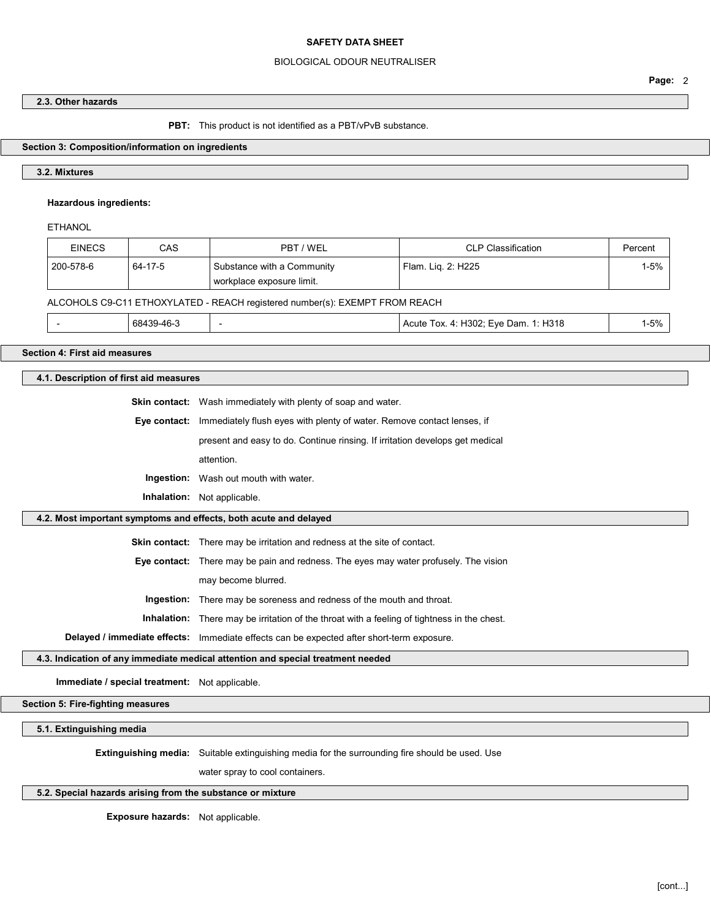## BIOLOGICAL ODOUR NEUTRALISER

## 2.3. Other hazards

#### PBT: This product is not identified as a PBT/vPvB substance.

### Section 3: Composition/information on ingredients

## 3.2. Mixtures

## Hazardous ingredients:

**ETHANOL** 

| <b>EINECS</b>                                                               | CAS     | PBT / WEL                                               | <b>CLP Classification</b> | Percent  |
|-----------------------------------------------------------------------------|---------|---------------------------------------------------------|---------------------------|----------|
| 200-578-6                                                                   | 64-17-5 | Substance with a Community<br>workplace exposure limit. | Flam. Lig. 2: H225        | $1 - 5%$ |
| ALCOHOLS C9-C11 ETHOXYLATED - REACH registered number(s): EXEMPT FROM REACH |         |                                                         |                           |          |

|  | 68439-46-3 |  | Acute Tox. 4: H302: Eve Dam. 1: H318 | 5%، |
|--|------------|--|--------------------------------------|-----|
|--|------------|--|--------------------------------------|-----|

# Section 4: First aid measures

## 4.1. Description of first aid measures

| <b>Skin contact:</b> Wash immediately with plenty of soap and water.                       |
|--------------------------------------------------------------------------------------------|
| <b>Eye contact:</b> Immediately flush eyes with plenty of water. Remove contact lenses, if |
| present and easy to do. Continue rinsing. If irritation develops get medical               |
| attention.                                                                                 |
| <b>Ingestion:</b> Wash out mouth with water.                                               |

Inhalation: Not applicable.

## 4.2. Most important symptoms and effects, both acute and delayed

Skin contact: There may be irritation and redness at the site of contact.

Eye contact: There may be pain and redness. The eyes may water profusely. The vision

may become blurred.

Ingestion: There may be soreness and redness of the mouth and throat.

Inhalation: There may be irritation of the throat with a feeling of tightness in the chest.

Delayed / immediate effects: Immediate effects can be expected after short-term exposure.

#### 4.3. Indication of any immediate medical attention and special treatment needed

Immediate / special treatment: Not applicable.

Section 5: Fire-fighting measures

5.1. Extinguishing media

Extinguishing media: Suitable extinguishing media for the surrounding fire should be used. Use

water spray to cool containers.

#### 5.2. Special hazards arising from the substance or mixture

Exposure hazards: Not applicable.

Page: 2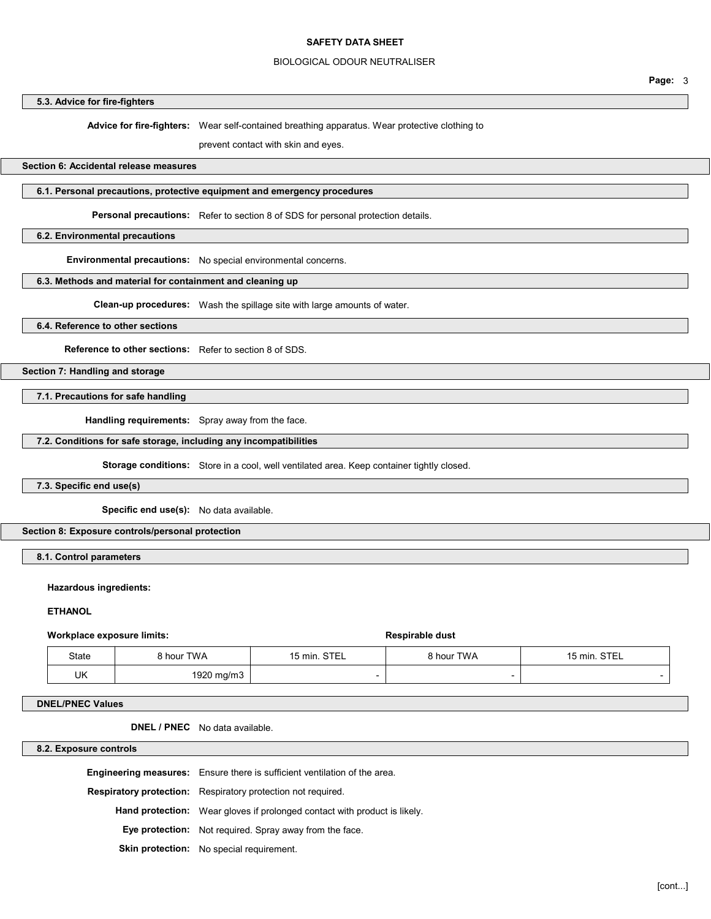## BIOLOGICAL ODOUR NEUTRALISER

# 5.3. Advice for fire-fighters

Advice for fire-fighters: Wear self-contained breathing apparatus. Wear protective clothing to

prevent contact with skin and eyes.

### Section 6: Accidental release measures

# 6.1. Personal precautions, protective equipment and emergency procedures

Personal precautions: Refer to section 8 of SDS for personal protection details.

### 6.2. Environmental precautions

Environmental precautions: No special environmental concerns.

# 6.3. Methods and material for containment and cleaning up

Clean-up procedures: Wash the spillage site with large amounts of water.

6.4. Reference to other sections

Reference to other sections: Refer to section 8 of SDS.

Section 7: Handling and storage

# 7.1. Precautions for safe handling

Handling requirements: Spray away from the face.

### 7.2. Conditions for safe storage, including any incompatibilities

Storage conditions: Store in a cool, well ventilated area. Keep container tightly closed.

# 7.3. Specific end use(s)

Specific end use(s): No data available.

### Section 8: Exposure controls/personal protection

8.1. Control parameters

#### Hazardous ingredients:

**ETHANOL** 

#### Workplace exposure limits:  $\qquad \qquad$  Respirable dust

| State | 3 hour TWA | 15 min. STEL | 8 hour TWA | 15 min. STEL |
|-------|------------|--------------|------------|--------------|
| UK    | 1920 mg/m3 |              |            |              |

#### DNEL/PNEC Values

DNEL / PNEC No data available.

8.2. Exposure controls

| <b>Engineering measures:</b> Ensure there is sufficient ventilation of the area. |
|----------------------------------------------------------------------------------|
| <b>Respiratory protection:</b> Respiratory protection not required.              |
| <b>Hand protection:</b> Wear gloves if prolonged contact with product is likely. |
| Eye protection: Not required. Spray away from the face.                          |
| <b>Skin protection:</b> No special requirement.                                  |

Page: 3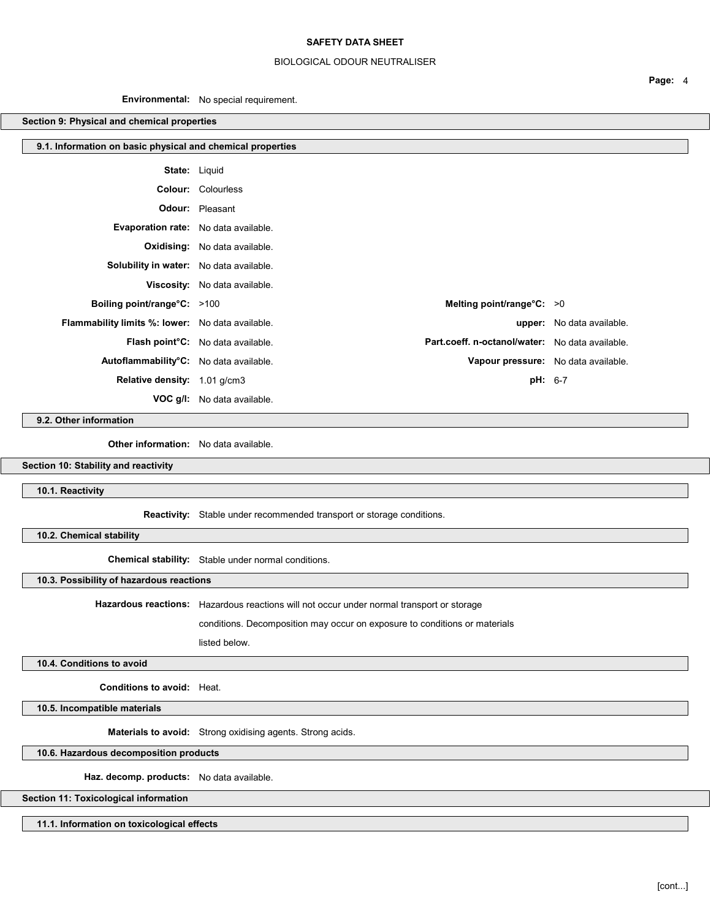# BIOLOGICAL ODOUR NEUTRALISER

Environmental: No special requirement.

# Section 9: Physical and chemical properties

| 9.1. Information on basic physical and chemical properties |                                                                                                   |                                     |
|------------------------------------------------------------|---------------------------------------------------------------------------------------------------|-------------------------------------|
|                                                            | <b>State:</b> Liquid                                                                              |                                     |
|                                                            | <b>Colour:</b> Colourless                                                                         |                                     |
|                                                            | <b>Odour:</b> Pleasant                                                                            |                                     |
| Evaporation rate: No data available.                       |                                                                                                   |                                     |
|                                                            | <b>Oxidising:</b> No data available.                                                              |                                     |
| Solubility in water: No data available.                    |                                                                                                   |                                     |
|                                                            | Viscosity: No data available.                                                                     |                                     |
| <b>Boiling point/range°C:</b> >100                         | Melting point/range $C: >0$                                                                       |                                     |
| <b>Flammability limits %: lower:</b> No data available.    |                                                                                                   | upper: No data available.           |
|                                                            | Part.coeff. n-octanol/water: No data available.<br>Flash point <sup>°</sup> C: No data available. |                                     |
| Autoflammability°C: No data available.                     |                                                                                                   | Vapour pressure: No data available. |
| Relative density: 1.01 g/cm3                               |                                                                                                   | $pH: 6-7$                           |
|                                                            | <b>VOC g/l:</b> No data available.                                                                |                                     |

9.2. Other information

Other information: No data available.

Section 10: Stability and reactivity

10.1. Reactivity

Reactivity: Stable under recommended transport or storage conditions.

10.2. Chemical stability

Chemical stability: Stable under normal conditions.

10.3. Possibility of hazardous reactions

Hazardous reactions: Hazardous reactions will not occur under normal transport or storage

conditions. Decomposition may occur on exposure to conditions or materials

listed below.

10.4. Conditions to avoid

Conditions to avoid: Heat.

10.5. Incompatible materials

Materials to avoid: Strong oxidising agents. Strong acids.

10.6. Hazardous decomposition products

Haz. decomp. products: No data available.

Section 11: Toxicological information

11.1. Information on toxicological effects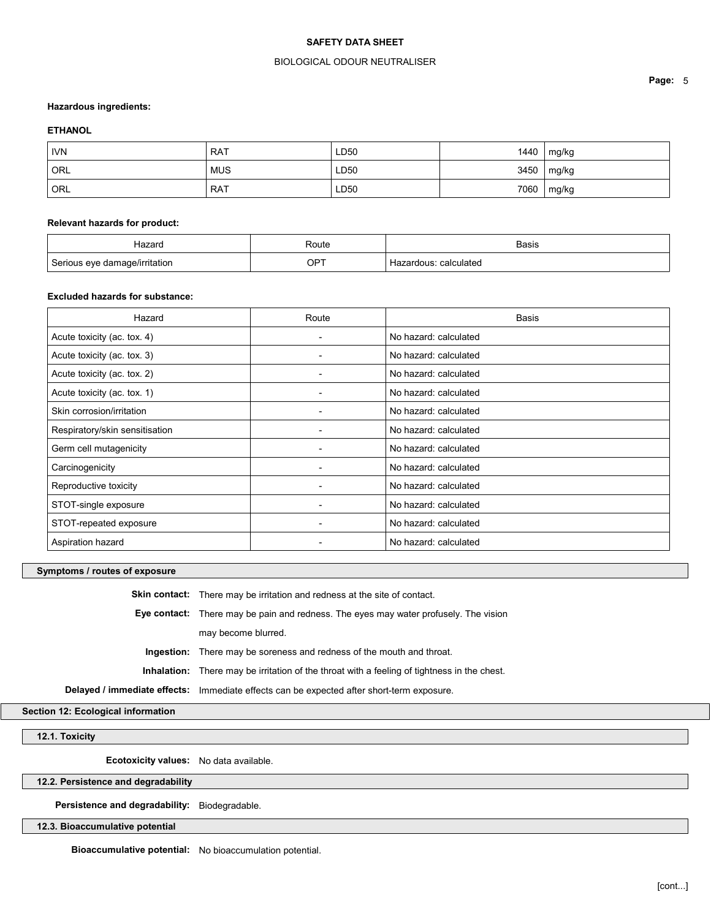## BIOLOGICAL ODOUR NEUTRALISER

#### Hazardous ingredients:

### **ETHANOL**

| <b>IVN</b>         | <b>RAT</b> | LD50 | 1440 | mg/kg |
|--------------------|------------|------|------|-------|
| $\overline{O}$ Orl | <b>MUS</b> | LD50 | 3450 | mg/kg |
| ORL                | <b>RAT</b> | LD50 | 7060 | mg/kg |

### Relevant hazards for product:

| Hazard                        | Route | <b>Basis</b>          |
|-------------------------------|-------|-----------------------|
| Serious eye damage/irritation | OPT   | Hazardous: calculated |

#### Excluded hazards for substance:

| Hazard                         | Route                    | <b>Basis</b>          |
|--------------------------------|--------------------------|-----------------------|
| Acute toxicity (ac. tox. 4)    | $\overline{\phantom{0}}$ | No hazard: calculated |
| Acute toxicity (ac. tox. 3)    | ۰                        | No hazard: calculated |
| Acute toxicity (ac. tox. 2)    | $\blacksquare$           | No hazard: calculated |
| Acute toxicity (ac. tox. 1)    |                          | No hazard: calculated |
| Skin corrosion/irritation      | $\overline{\phantom{0}}$ | No hazard: calculated |
| Respiratory/skin sensitisation |                          | No hazard: calculated |
| Germ cell mutagenicity         |                          | No hazard: calculated |
| Carcinogenicity                | ۰                        | No hazard: calculated |
| Reproductive toxicity          |                          | No hazard: calculated |
| STOT-single exposure           |                          | No hazard: calculated |
| STOT-repeated exposure         | -                        | No hazard: calculated |
| Aspiration hazard              |                          | No hazard: calculated |

# Symptoms / routes of exposure

Skin contact: There may be irritation and redness at the site of contact. Eye contact: There may be pain and redness. The eyes may water profusely. The vision may become blurred. Ingestion: There may be soreness and redness of the mouth and throat. Inhalation: There may be irritation of the throat with a feeling of tightness in the chest. Delayed / immediate effects: Immediate effects can be expected after short-term exposure.

Section 12: Ecological information

12.1. Toxicity

Ecotoxicity values: No data available.

12.2. Persistence and degradability

Persistence and degradability: Biodegradable.

12.3. Bioaccumulative potential

Bioaccumulative potential: No bioaccumulation potential.